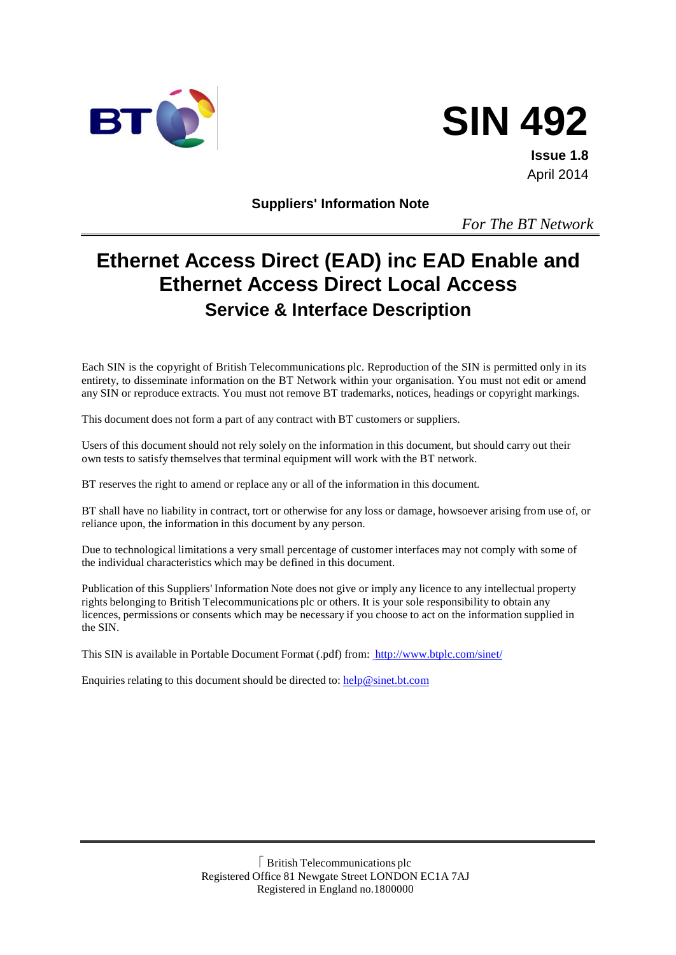



**Issue 1.8** April 2014

**Suppliers' Information Note**

*For The BT Network*

# **Ethernet Access Direct (EAD) inc EAD Enable and Ethernet Access Direct Local Access Service & Interface Description**

Each SIN is the copyright of British Telecommunications plc. Reproduction of the SIN is permitted only in its entirety, to disseminate information on the BT Network within your organisation. You must not edit or amend any SIN or reproduce extracts. You must not remove BT trademarks, notices, headings or copyright markings.

This document does not form a part of any contract with BT customers or suppliers.

Users of this document should not rely solely on the information in this document, but should carry out their own tests to satisfy themselves that terminal equipment will work with the BT network.

BT reserves the right to amend or replace any or all of the information in this document.

BT shall have no liability in contract, tort or otherwise for any loss or damage, howsoever arising from use of, or reliance upon, the information in this document by any person.

Due to technological limitations a very small percentage of customer interfaces may not comply with some of the individual characteristics which may be defined in this document.

Publication of this Suppliers' Information Note does not give or imply any licence to any intellectual property rights belonging to British Telecommunications plc or others. It is your sole responsibility to obtain any licences, permissions or consents which may be necessary if you choose to act on the information supplied in the SIN.

This SIN is available in Portable Document Format (.pdf) from: <http://www.btplc.com/sinet/>

Enquiries relating to this document should be directed to: [help@sinet.bt.com](mailto:help@sinet.bt.com)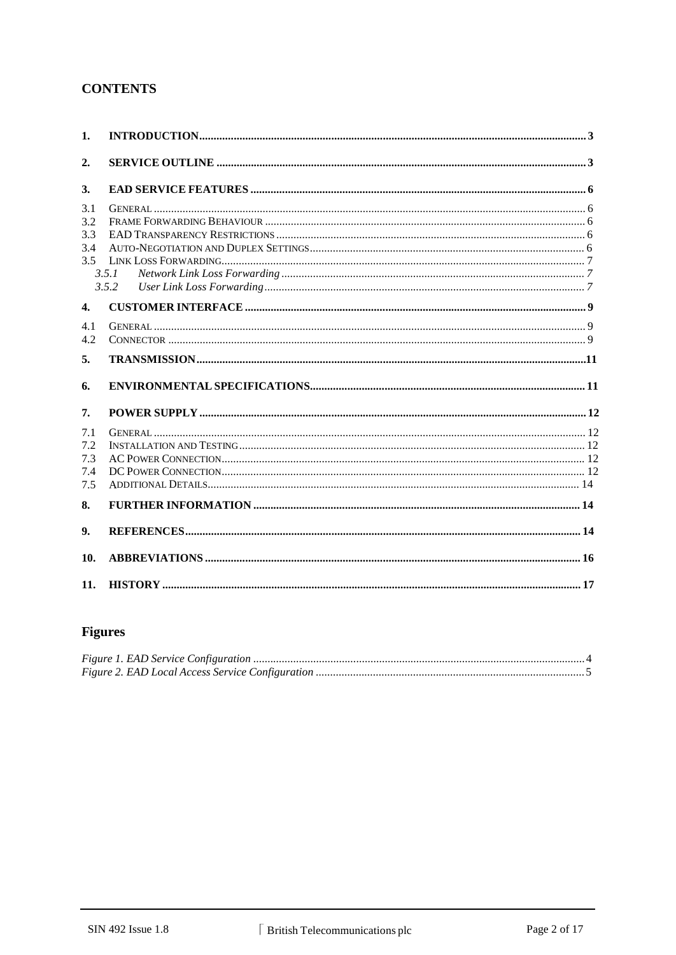# **CONTENTS**

| 1.                              |                |  |
|---------------------------------|----------------|--|
| 2.                              |                |  |
| 3.                              |                |  |
| 3.1<br>3.2<br>3.3<br>3.4<br>3.5 | 3.5.1<br>3.5.2 |  |
| $\overline{4}$ .                |                |  |
| 4.1<br>4.2                      |                |  |
| 5.                              |                |  |
| 6.                              |                |  |
| 7.                              |                |  |
| 7.1<br>7.2<br>7.3<br>7.4<br>7.5 |                |  |
| 8.                              |                |  |
| 9.                              |                |  |
| 10.                             |                |  |
| 11.                             |                |  |

# **Figures**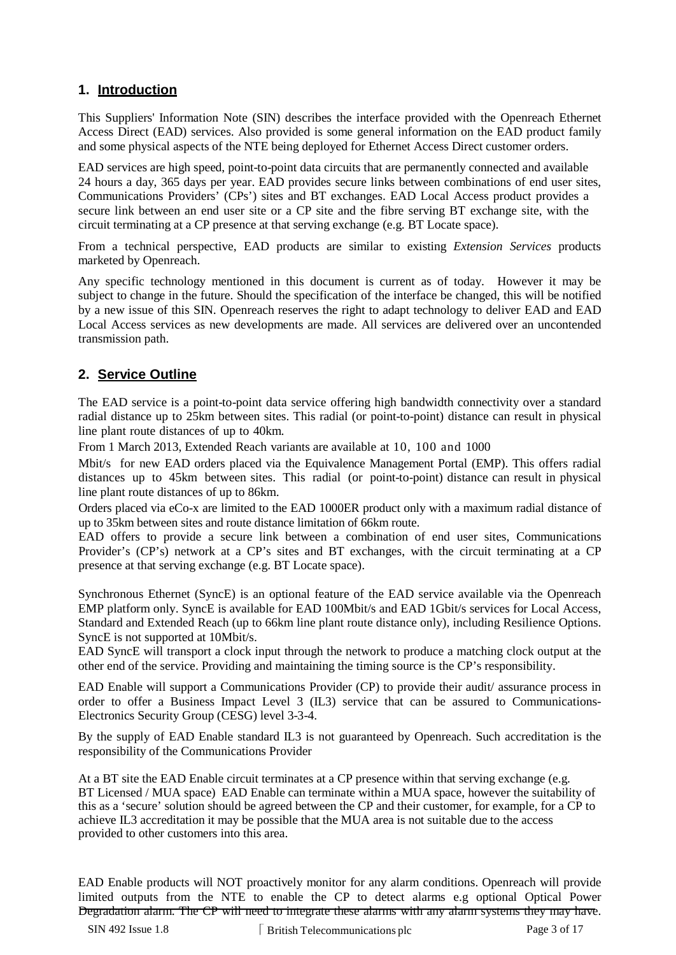# **1. Introduction**

This Suppliers' Information Note (SIN) describes the interface provided with the Openreach Ethernet Access Direct (EAD) services. Also provided is some general information on the EAD product family and some physical aspects of the NTE being deployed for Ethernet Access Direct customer orders.

EAD services are high speed, point-to-point data circuits that are permanently connected and available 24 hours a day, 365 days per year. EAD provides secure links between combinations of end user sites, Communications Providers' (CPs') sites and BT exchanges. EAD Local Access product provides a secure link between an end user site or a CP site and the fibre serving BT exchange site, with the circuit terminating at a CP presence at that serving exchange (e.g. BT Locate space).

From a technical perspective, EAD products are similar to existing *Extension Services* products marketed by Openreach.

Any specific technology mentioned in this document is current as of today. However it may be subject to change in the future. Should the specification of the interface be changed, this will be notified by a new issue of this SIN. Openreach reserves the right to adapt technology to deliver EAD and EAD Local Access services as new developments are made. All services are delivered over an uncontended transmission path.

# **2. Service Outline**

The EAD service is a point-to-point data service offering high bandwidth connectivity over a standard radial distance up to 25km between sites. This radial (or point-to-point) distance can result in physical line plant route distances of up to 40km.

From 1 March 2013, Extended Reach variants are available at 10, 100 and 1000

Mbit/s for new EAD orders placed via the Equivalence Management Portal (EMP). This offers radial distances up to 45km between sites. This radial (or point-to-point) distance can result in physical line plant route distances of up to 86km.

Orders placed via eCo-x are limited to the EAD 1000ER product only with a maximum radial distance of up to 35km between sites and route distance limitation of 66km route.

EAD offers to provide a secure link between a combination of end user sites, Communications Provider's (CP's) network at a CP's sites and BT exchanges, with the circuit terminating at a CP presence at that serving exchange (e.g. BT Locate space).

Synchronous Ethernet (SyncE) is an optional feature of the EAD service available via the Openreach EMP platform only. SyncE is available for EAD 100Mbit/s and EAD 1Gbit/s services for Local Access, Standard and Extended Reach (up to 66km line plant route distance only), including Resilience Options. SyncE is not supported at 10Mbit/s.

EAD SyncE will transport a clock input through the network to produce a matching clock output at the other end of the service. Providing and maintaining the timing source is the CP's responsibility.

EAD Enable will support a Communications Provider (CP) to provide their audit/ assurance process in order to offer a Business Impact Level 3 (IL3) service that can be assured to Communications-Electronics Security Group (CESG) level 3-3-4.

By the supply of EAD Enable standard IL3 is not guaranteed by Openreach. Such accreditation is the responsibility of the Communications Provider

At a BT site the EAD Enable circuit terminates at a CP presence within that serving exchange (e.g. BT Licensed / MUA space) EAD Enable can terminate within a MUA space, however the suitability of this as a 'secure' solution should be agreed between the CP and their customer, for example, for a CP to achieve IL3 accreditation it may be possible that the MUA area is not suitable due to the access provided to other customers into this area.

EAD Enable products will NOT proactively monitor for any alarm conditions. Openreach will provide limited outputs from the NTE to enable the CP to detect alarms e.g optional Optical Power Degradation alarm. The CP will need to integrate these alarms with any alarm systems they may have.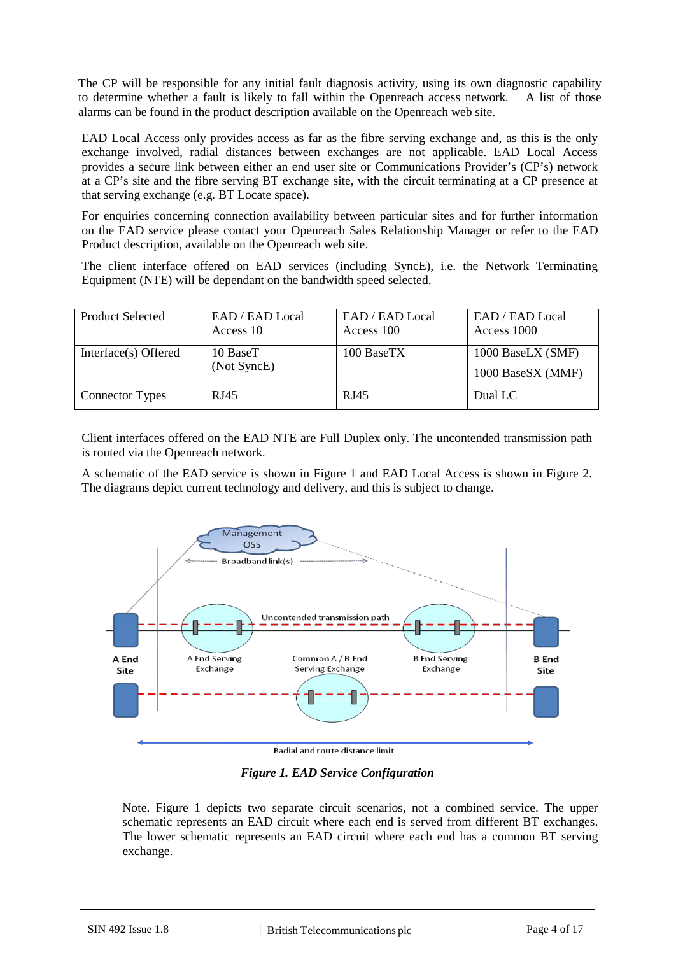The CP will be responsible for any initial fault diagnosis activity, using its own diagnostic capability to determine whether a fault is likely to fall within the Openreach access network. A list of those alarms can be found in the product description available on the Openreach web site.

EAD Local Access only provides access as far as the fibre serving exchange and, as this is the only exchange involved, radial distances between exchanges are not applicable. EAD Local Access provides a secure link between either an end user site or Communications Provider's (CP's) network at a CP's site and the fibre serving BT exchange site, with the circuit terminating at a CP presence at that serving exchange (e.g. BT Locate space).

For enquiries concerning connection availability between particular sites and for further information on the EAD service please contact your Openreach Sales Relationship Manager or refer to the EAD Product description, available on the Openreach web site.

The client interface offered on EAD services (including SyncE), i.e. the Network Terminating Equipment (NTE) will be dependant on the bandwidth speed selected.

| <b>Product Selected</b> | EAD / EAD Local<br>Access 10 | EAD / EAD Local<br>Access 100 | EAD / EAD Local<br>Access 1000         |
|-------------------------|------------------------------|-------------------------------|----------------------------------------|
| Interface(s) Offered    | 10 BaseT<br>(Not SyncE)      | 100 BaseTX                    | 1000 BaseLX (SMF)<br>1000 BaseSX (MMF) |
| <b>Connector Types</b>  | RJ45                         | RJ45                          | Dual LC                                |

Client interfaces offered on the EAD NTE are Full Duplex only. The uncontended transmission path is routed via the Openreach network.

A schematic of the EAD service is shown in Figure 1 and EAD Local Access is shown in Figure 2. The diagrams depict current technology and delivery, and this is subject to change.



Radial and route distance limit

*Figure 1. EAD Service Configuration*

Note. Figure 1 depicts two separate circuit scenarios, not a combined service. The upper schematic represents an EAD circuit where each end is served from different BT exchanges. The lower schematic represents an EAD circuit where each end has a common BT serving exchange.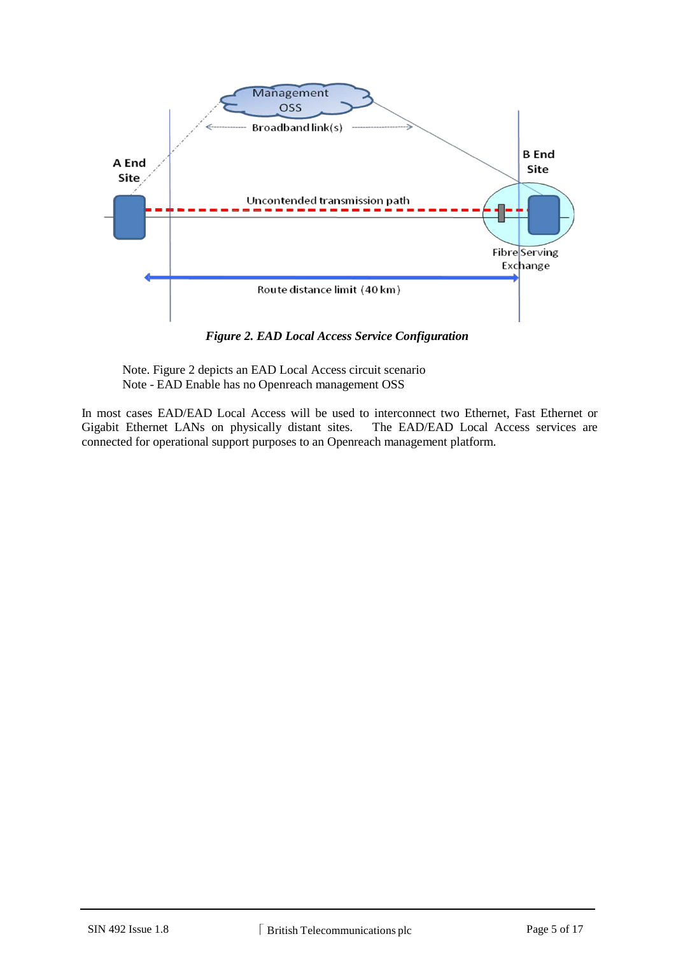

*Figure 2. EAD Local Access Service Configuration*

Note. Figure 2 depicts an EAD Local Access circuit scenario Note - EAD Enable has no Openreach management OSS

In most cases EAD/EAD Local Access will be used to interconnect two Ethernet, Fast Ethernet or Gigabit Ethernet LANs on physically distant sites. The EAD/EAD Local Access services are Gigabit Ethernet LANs on physically distant sites. connected for operational support purposes to an Openreach management platform.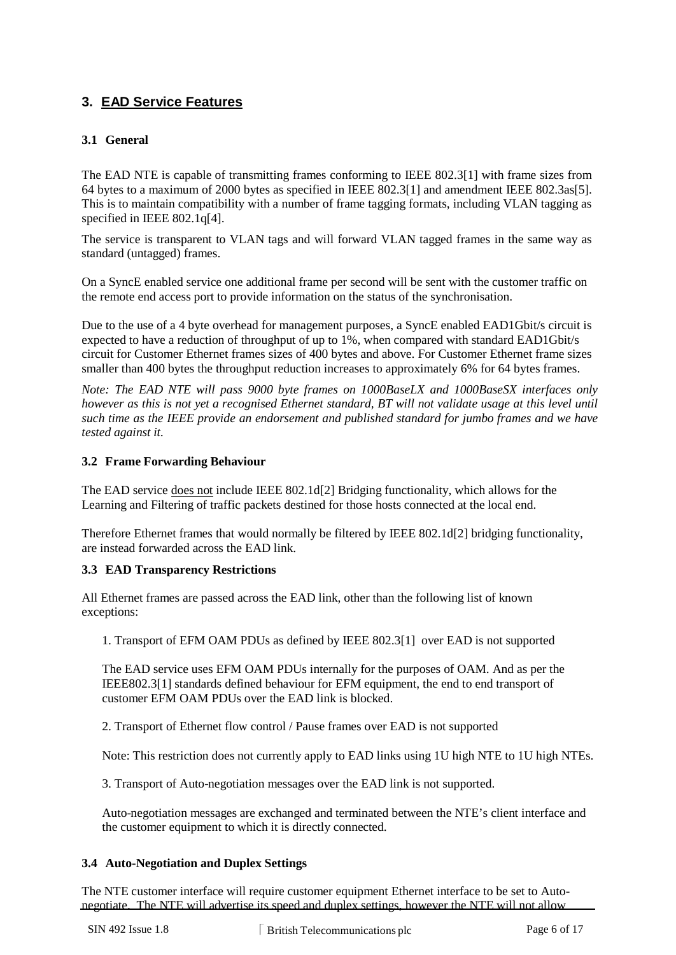# **3. EAD Service Features**

# **3.1 General**

The EAD NTE is capable of transmitting frames conforming to IEEE 802.3[1] with frame sizes from 64 bytes to a maximum of 2000 bytes as specified in IEEE 802.3[1] and amendment IEEE 802.3as[5]. This is to maintain compatibility with a number of frame tagging formats, including VLAN tagging as specified in IEEE 802.1q[4].

The service is transparent to VLAN tags and will forward VLAN tagged frames in the same way as standard (untagged) frames.

On a SyncE enabled service one additional frame per second will be sent with the customer traffic on the remote end access port to provide information on the status of the synchronisation.

Due to the use of a 4 byte overhead for management purposes, a SyncE enabled EAD1Gbit/s circuit is expected to have a reduction of throughput of up to 1%, when compared with standard EAD1Gbit/s circuit for Customer Ethernet frames sizes of 400 bytes and above. For Customer Ethernet frame sizes smaller than 400 bytes the throughput reduction increases to approximately 6% for 64 bytes frames.

*Note: The EAD NTE will pass 9000 byte frames on 1000BaseLX and 1000BaseSX interfaces only*  however as this is not yet a recognised Ethernet standard, BT will not validate usage at this level until *such time as the IEEE provide an endorsement and published standard for jumbo frames and we have tested against it.*

## **3.2 Frame Forwarding Behaviour**

The EAD service does not include IEEE 802.1d[2] Bridging functionality, which allows for the Learning and Filtering of traffic packets destined for those hosts connected at the local end.

Therefore Ethernet frames that would normally be filtered by IEEE 802.1d[2] bridging functionality, are instead forwarded across the EAD link.

#### **3.3 EAD Transparency Restrictions**

All Ethernet frames are passed across the EAD link, other than the following list of known exceptions:

1. Transport of EFM OAM PDUs as defined by IEEE 802.3[1] over EAD is not supported

The EAD service uses EFM OAM PDUs internally for the purposes of OAM. And as per the IEEE802.3[1] standards defined behaviour for EFM equipment, the end to end transport of customer EFM OAM PDUs over the EAD link is blocked.

2. Transport of Ethernet flow control / Pause frames over EAD is not supported

Note: This restriction does not currently apply to EAD links using 1U high NTE to 1U high NTEs.

3. Transport of Auto-negotiation messages over the EAD link is not supported.

Auto-negotiation messages are exchanged and terminated between the NTE's client interface and the customer equipment to which it is directly connected.

#### **3.4 Auto-Negotiation and Duplex Settings**

The NTE customer interface will require customer equipment Ethernet interface to be set to Autonegotiate. The NTE will advertise its speed and duplex settings, however the NTE will not allow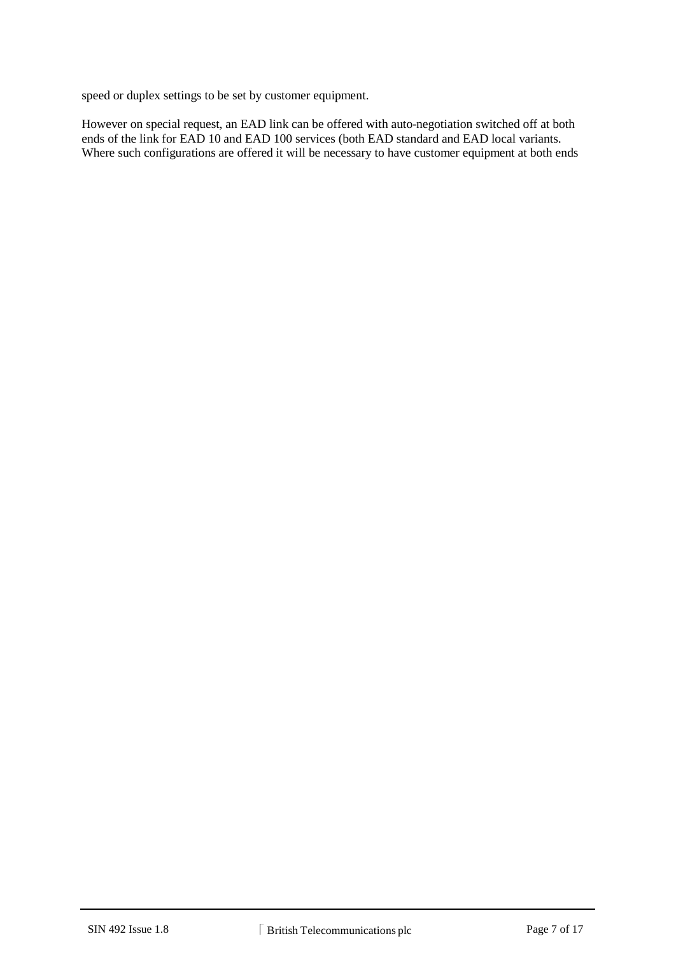speed or duplex settings to be set by customer equipment.

However on special request, an EAD link can be offered with auto-negotiation switched off at both ends of the link for EAD 10 and EAD 100 services (both EAD standard and EAD local variants. Where such configurations are offered it will be necessary to have customer equipment at both ends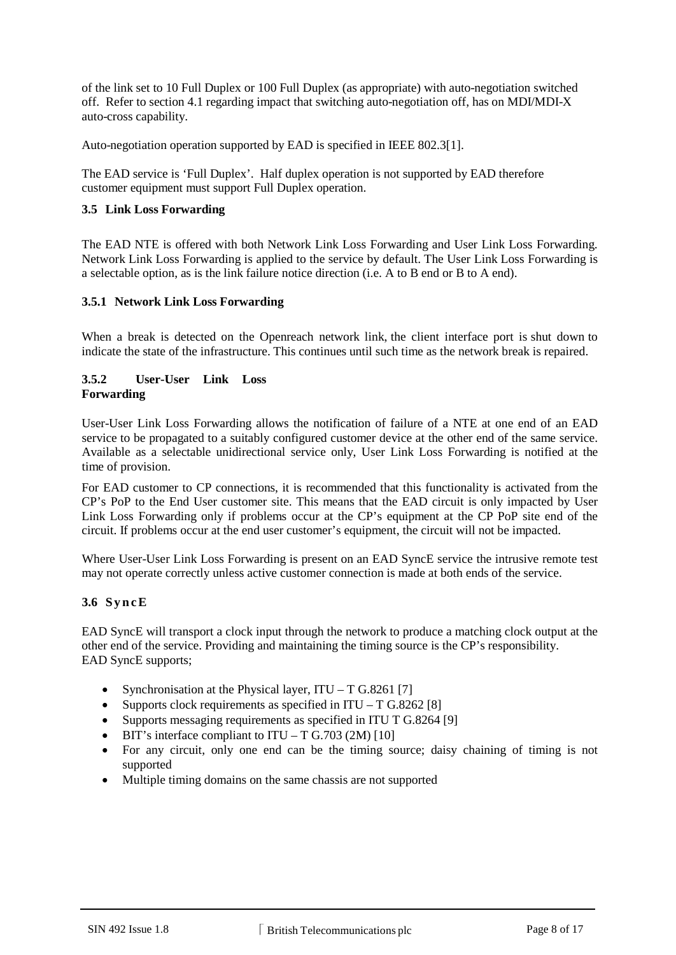of the link set to 10 Full Duplex or 100 Full Duplex (as appropriate) with auto-negotiation switched off. Refer to section 4.1 regarding impact that switching auto-negotiation off, has on MDI/MDI-X auto-cross capability.

Auto-negotiation operation supported by EAD is specified in IEEE 802.3[1].

The EAD service is 'Full Duplex'. Half duplex operation is not supported by EAD therefore customer equipment must support Full Duplex operation.

### **3.5 Link Loss Forwarding**

The EAD NTE is offered with both Network Link Loss Forwarding and User Link Loss Forwarding. Network Link Loss Forwarding is applied to the service by default. The User Link Loss Forwarding is a selectable option, as is the link failure notice direction (i.e. A to B end or B to A end).

### **3.5.1 Network Link Loss Forwarding**

When a break is detected on the Openreach network link, the client interface port is shut down to indicate the state of the infrastructure. This continues until such time as the network break is repaired.

### **3.5.2 User-User Link Loss Forwarding**

User-User Link Loss Forwarding allows the notification of failure of a NTE at one end of an EAD service to be propagated to a suitably configured customer device at the other end of the same service. Available as a selectable unidirectional service only, User Link Loss Forwarding is notified at the time of provision.

For EAD customer to CP connections, it is recommended that this functionality is activated from the CP's PoP to the End User customer site. This means that the EAD circuit is only impacted by User Link Loss Forwarding only if problems occur at the CP's equipment at the CP PoP site end of the circuit. If problems occur at the end user customer's equipment, the circuit will not be impacted.

Where User-User Link Loss Forwarding is present on an EAD SyncE service the intrusive remote test may not operate correctly unless active customer connection is made at both ends of the service.

#### **3.6 SyncE**

EAD SyncE will transport a clock input through the network to produce a matching clock output at the other end of the service. Providing and maintaining the timing source is the CP's responsibility. EAD SyncE supports;

- Synchronisation at the Physical layer,  $ITU T G.8261$  [7]
- Supports clock requirements as specified in  $ITU T G.8262 [8]$
- Supports messaging requirements as specified in ITU T G.8264 [9]
- BIT's interface compliant to  $ITU T G.703 (2M) [10]$
- For any circuit, only one end can be the timing source; daisy chaining of timing is not supported
- Multiple timing domains on the same chassis are not supported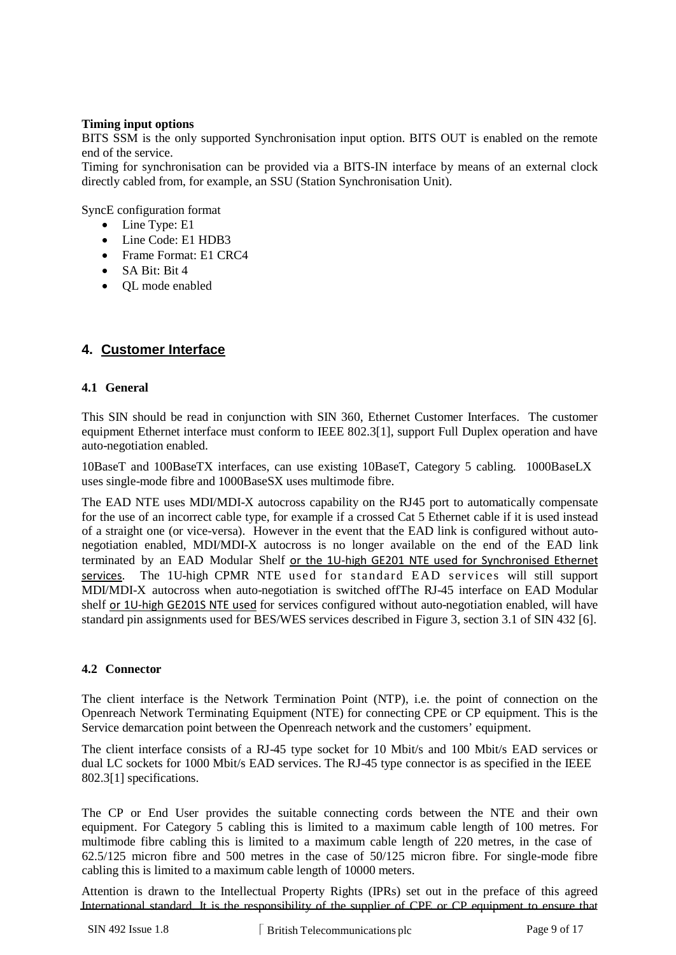#### **Timing input options**

BITS SSM is the only supported Synchronisation input option. BITS OUT is enabled on the remote end of the service.

Timing for synchronisation can be provided via a BITS-IN interface by means of an external clock directly cabled from, for example, an SSU (Station Synchronisation Unit).

SyncE configuration format

- Line Type: E1
- Line Code: E1 HDB3
- Frame Format: E1 CRC4
- $\bullet$  SA Bit: Bit 4
- QL mode enabled

# **4. Customer Interface**

### **4.1 General**

This SIN should be read in conjunction with SIN 360, Ethernet Customer Interfaces. The customer equipment Ethernet interface must conform to IEEE 802.3[1], support Full Duplex operation and have auto-negotiation enabled.

10BaseT and 100BaseTX interfaces, can use existing 10BaseT, Category 5 cabling. 1000BaseLX uses single-mode fibre and 1000BaseSX uses multimode fibre.

The EAD NTE uses MDI/MDI-X autocross capability on the RJ45 port to automatically compensate for the use of an incorrect cable type, for example if a crossed Cat 5 Ethernet cable if it is used instead of a straight one (or vice-versa). However in the event that the EAD link is configured without autonegotiation enabled, MDI/MDI-X autocross is no longer available on the end of the EAD link terminated by an EAD Modular Shelf or the 1U-high GE201 NTE used for Synchronised Ethernet services. The 1U-high CPMR NTE used for standard EAD services will still support MDI/MDI-X autocross when auto-negotiation is switched offThe RJ-45 interface on EAD Modular shelf or 1U-high GE201S NTE used for services configured without auto-negotiation enabled, will have standard pin assignments used for BES/WES services described in Figure 3, section 3.1 of SIN 432 [6].

#### **4.2 Connector**

The client interface is the Network Termination Point (NTP), i.e. the point of connection on the Openreach Network Terminating Equipment (NTE) for connecting CPE or CP equipment. This is the Service demarcation point between the Openreach network and the customers' equipment.

The client interface consists of a RJ-45 type socket for 10 Mbit/s and 100 Mbit/s EAD services or dual LC sockets for 1000 Mbit/s EAD services. The RJ-45 type connector is as specified in the IEEE 802.3[1] specifications.

The CP or End User provides the suitable connecting cords between the NTE and their own equipment. For Category 5 cabling this is limited to a maximum cable length of 100 metres. For multimode fibre cabling this is limited to a maximum cable length of 220 metres, in the case of 62.5/125 micron fibre and 500 metres in the case of 50/125 micron fibre. For single-mode fibre cabling this is limited to a maximum cable length of 10000 meters.

Attention is drawn to the Intellectual Property Rights (IPRs) set out in the preface of this agreed International standard. It is the responsibility of the supplier of CPE or CP equipment to ensure that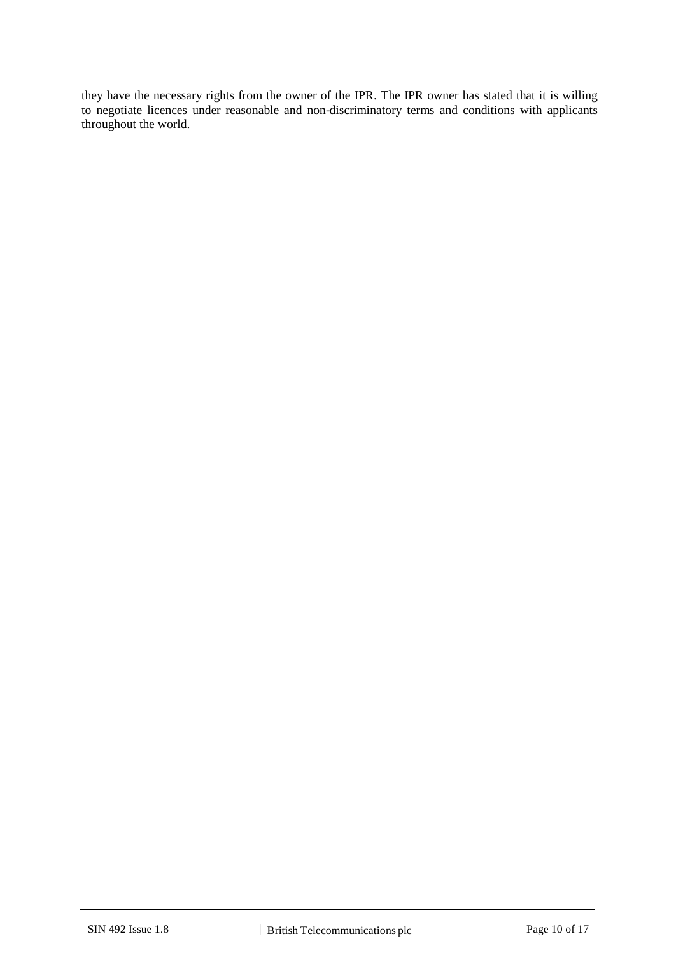they have the necessary rights from the owner of the IPR. The IPR owner has stated that it is willing to negotiate licences under reasonable and non-discriminatory terms and conditions with applicants throughout the world.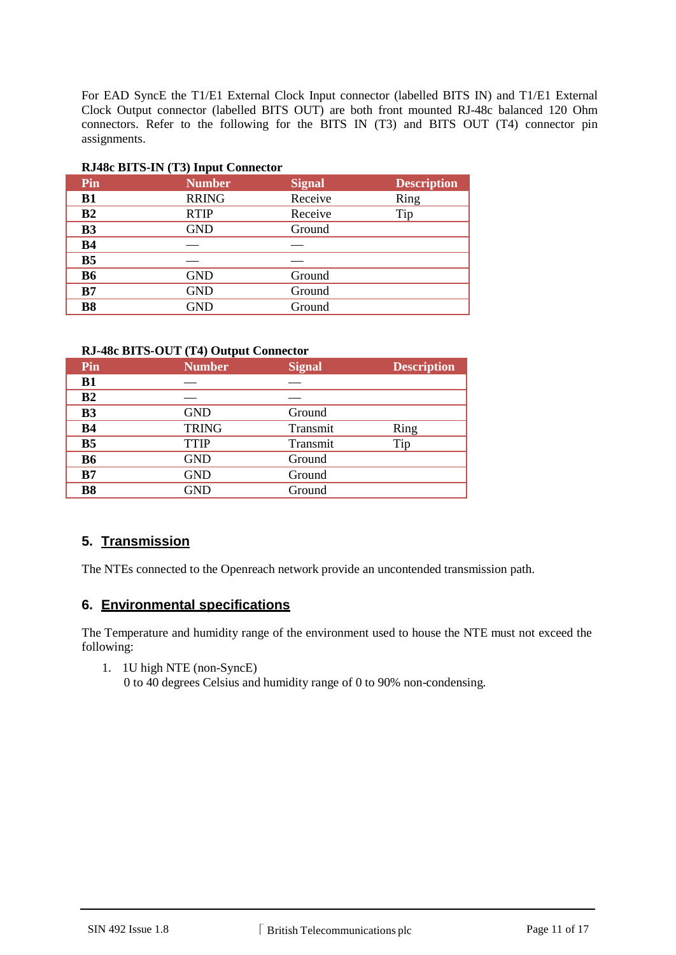For EAD SyncE the T1/E1 External Clock Input connector (labelled BITS IN) and T1/E1 External Clock Output connector (labelled BITS OUT) are both front mounted RJ-48c balanced 120 Ohm connectors. Refer to the following for the BITS IN (T3) and BITS OUT (T4) connector pin assignments.

| Pin            | <b>Number</b> | <b>Signal</b> | <b>Description</b> |  |  |
|----------------|---------------|---------------|--------------------|--|--|
| <b>B1</b>      | <b>RRING</b>  | Receive       | Ring               |  |  |
| B <sub>2</sub> | <b>RTIP</b>   | Receive       | Tip                |  |  |
| B <sub>3</sub> | <b>GND</b>    | Ground        |                    |  |  |
| <b>B4</b>      |               |               |                    |  |  |
| <b>B5</b>      |               |               |                    |  |  |
| <b>B6</b>      | <b>GND</b>    | Ground        |                    |  |  |
| B7             | <b>GND</b>    | Ground        |                    |  |  |
| <b>B8</b>      | <b>GND</b>    | Ground        |                    |  |  |
|                |               |               |                    |  |  |

### **RJ48c BITS-IN (T3) Input Connector**

## **RJ-48c BITS-OUT (T4) Output Connector**

|                                           | <b>Description</b> |
|-------------------------------------------|--------------------|
| <b>B1</b>                                 |                    |
| B <sub>2</sub>                            |                    |
| <b>B3</b><br><b>GND</b><br>Ground         |                    |
| <b>TRING</b><br><b>B4</b><br>Transmit     | Ring               |
| B <sub>5</sub><br><b>TTIP</b><br>Transmit | Tip                |
| <b>B6</b><br><b>GND</b><br>Ground         |                    |
| <b>GND</b><br>B7<br>Ground                |                    |
| <b>B8</b><br><b>GND</b><br>Ground         |                    |

# **5. Transmission**

The NTEs connected to the Openreach network provide an uncontended transmission path.

# **6. Environmental specifications**

The Temperature and humidity range of the environment used to house the NTE must not exceed the following:

1. 1U high NTE (non-SyncE) 0 to 40 degrees Celsius and humidity range of 0 to 90% non-condensing.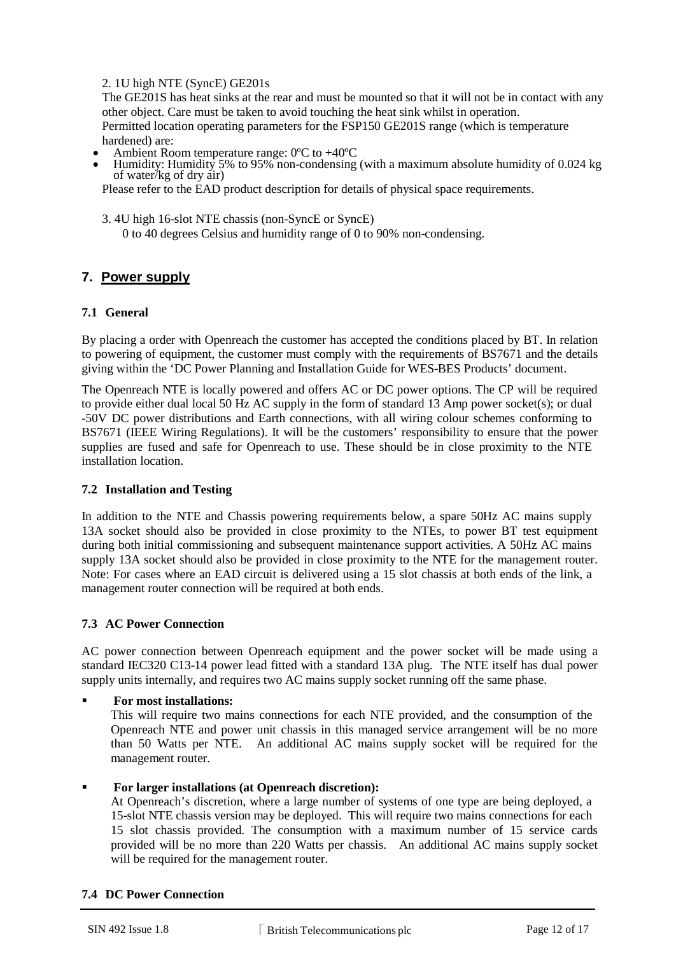## 2. 1U high NTE (SyncE) GE201s

The GE201S has heat sinks at the rear and must be mounted so that it will not be in contact with any other object. Care must be taken to avoid touching the heat sink whilst in operation. Permitted location operating parameters for the FSP150 GE201S range (which is temperature

- hardened) are:<br>Ambient Room temperature range:  $0^{\circ}$ C to  $+40^{\circ}$ C
- Humidity: Humidity 5% to 95% non-condensing (with a maximum absolute humidity of 0.024 kg) of water/kg of dry air)

Please refer to the EAD product description for details of physical space requirements.

- 3. 4U high 16-slot NTE chassis (non-SyncE or SyncE)
	- 0 to 40 degrees Celsius and humidity range of 0 to 90% non-condensing.

# **7. Power supply**

### **7.1 General**

By placing a order with Openreach the customer has accepted the conditions placed by BT. In relation to powering of equipment, the customer must comply with the requirements of BS7671 and the details giving within the 'DC Power Planning and Installation Guide for WES-BES Products' document.

The Openreach NTE is locally powered and offers AC or DC power options. The CP will be required to provide either dual local 50 Hz AC supply in the form of standard 13 Amp power socket(s); or dual -50V DC power distributions and Earth connections, with all wiring colour schemes conforming to BS7671 (IEEE Wiring Regulations). It will be the customers' responsibility to ensure that the power supplies are fused and safe for Openreach to use. These should be in close proximity to the NTE installation location.

#### **7.2 Installation and Testing**

In addition to the NTE and Chassis powering requirements below, a spare 50Hz AC mains supply 13A socket should also be provided in close proximity to the NTEs, to power BT test equipment during both initial commissioning and subsequent maintenance support activities. A 50Hz AC mains supply 13A socket should also be provided in close proximity to the NTE for the management router. Note: For cases where an EAD circuit is delivered using a 15 slot chassis at both ends of the link, a management router connection will be required at both ends.

## **7.3 AC Power Connection**

AC power connection between Openreach equipment and the power socket will be made using a standard IEC320 C13-14 power lead fitted with a standard 13A plug. The NTE itself has dual power supply units internally, and requires two AC mains supply socket running off the same phase.

**For most installations:**

This will require two mains connections for each NTE provided, and the consumption of the Openreach NTE and power unit chassis in this managed service arrangement will be no more than 50 Watts per NTE. An additional AC mains supply socket will be required for the management router.

#### **For larger installations (at Openreach discretion):**

At Openreach's discretion, where a large number of systems of one type are being deployed, a 15-slot NTE chassis version may be deployed. This will require two mains connections for each 15 slot chassis provided. The consumption with a maximum number of 15 service cards provided will be no more than 220 Watts per chassis. An additional AC mains supply socket will be required for the management router.

#### **7.4 DC Power Connection**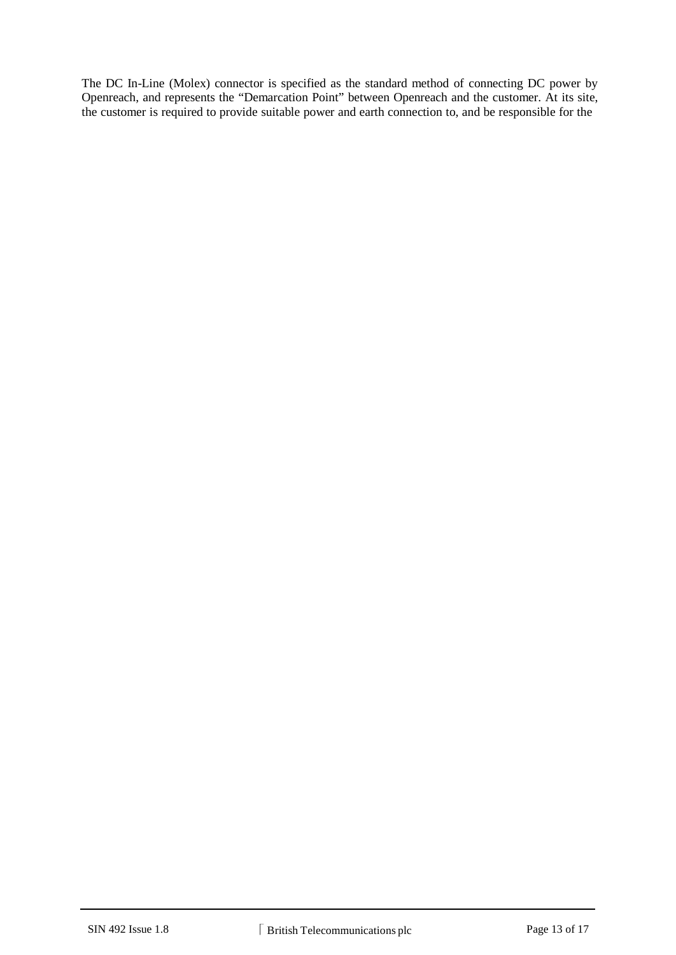The DC In-Line (Molex) connector is specified as the standard method of connecting DC power by Openreach, and represents the "Demarcation Point" between Openreach and the customer. At its site, the customer is required to provide suitable power and earth connection to, and be responsible for the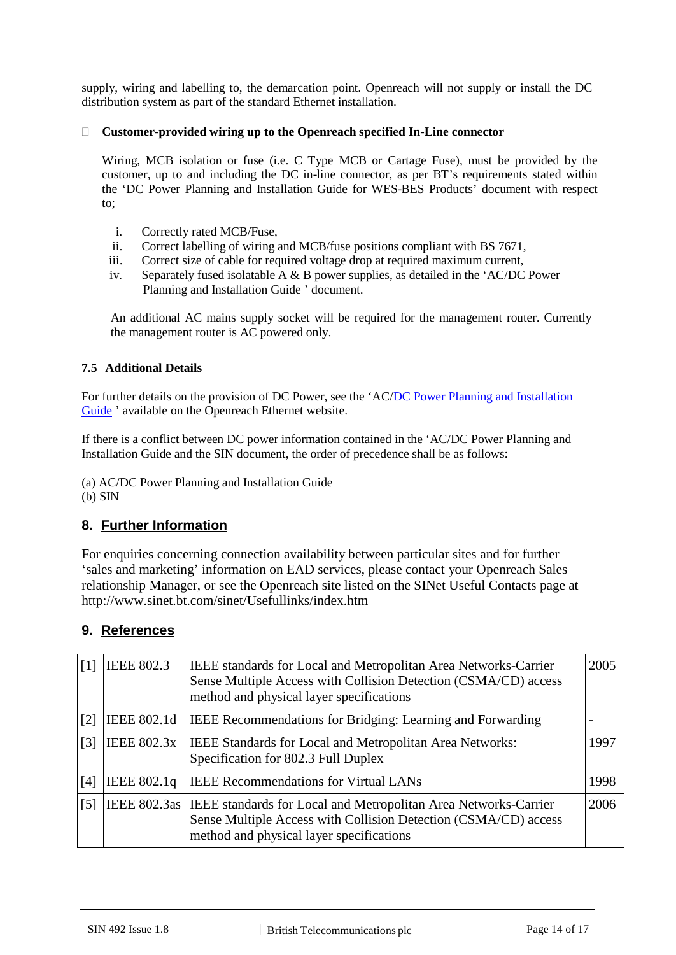supply, wiring and labelling to, the demarcation point. Openreach will not supply or install the DC distribution system as part of the standard Ethernet installation.

## **Customer-provided wiring up to the Openreach specified In-Line connector**

Wiring, MCB isolation or fuse (i.e. C Type MCB or Cartage Fuse), must be provided by the customer, up to and including the DC in-line connector, as per BT's requirements stated within the 'DC Power Planning and Installation Guide for WES-BES Products' document with respect to;

- i. Correctly rated MCB/Fuse,
- ii. Correct labelling of wiring and MCB/fuse positions compliant with BS 7671,
- iii. Correct size of cable for required voltage drop at required maximum current,
- iv. Separately fused isolatable A & B power supplies, as detailed in the 'AC/DC Power Planning and Installation Guide ' document.

An additional AC mains supply socket will be required for the management router. Currently the management router is AC powered only.

# **7.5 Additional Details**

For further details on the provision of DC Power, see the 'AC/DC Power Planning and Installation [Guide](https://www.openreach.co.uk/orpg/customerzone/products/ethernetservices/ethernetaccessdirect/description/supplementaryinformation/supplementaryinfo.do) ' available on the Openreach Ethernet website.

If there is a conflict between DC power information contained in the 'AC/DC Power Planning and Installation Guide and the SIN document, the order of precedence shall be as follows:

(a) AC/DC Power Planning and Installation Guide  $(b)$  SIN

# **8. Further Information**

For enquiries concerning connection availability between particular sites and for further 'sales and marketing' information on EAD services, please contact your Openreach Sales relationship Manager, or see the Openreach site listed on the SINet Useful Contacts page at http://www.sinet.bt.com/sinet/Usefullinks/index.htm

# **9. References**

| [1]               | <b>IEEE 802.3</b>  | IEEE standards for Local and Metropolitan Area Networks-Carrier<br>Sense Multiple Access with Collision Detection (CSMA/CD) access<br>method and physical layer specifications                | 2005 |
|-------------------|--------------------|-----------------------------------------------------------------------------------------------------------------------------------------------------------------------------------------------|------|
| $\lceil 2 \rceil$ | IEEE 802.1d        | IEEE Recommendations for Bridging: Learning and Forwarding                                                                                                                                    |      |
| $\lceil 3 \rceil$ | <b>IEEE 802.3x</b> | <b>IEEE Standards for Local and Metropolitan Area Networks:</b><br>Specification for 802.3 Full Duplex                                                                                        | 1997 |
| [4]               | IEEE 802.1q        | <b>IEEE</b> Recommendations for Virtual LANs                                                                                                                                                  | 1998 |
| $\lceil 5 \rceil$ |                    | IEEE 802.3as   IEEE standards for Local and Metropolitan Area Networks-Carrier<br>Sense Multiple Access with Collision Detection (CSMA/CD) access<br>method and physical layer specifications | 2006 |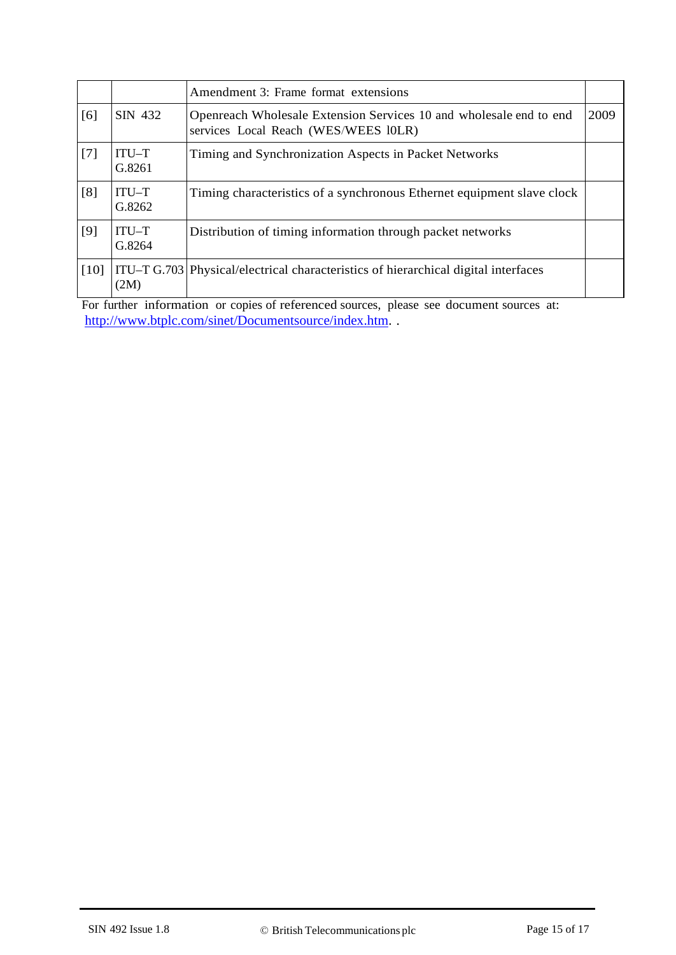|      |                 | Amendment 3: Frame format extensions                                                                       |      |
|------|-----------------|------------------------------------------------------------------------------------------------------------|------|
| [6]  | SIN 432         | Openreach Wholesale Extension Services 10 and wholesale end to end<br>services Local Reach (WES/WEES 10LR) | 2009 |
| [7]  | ITU-T<br>G.8261 | Timing and Synchronization Aspects in Packet Networks                                                      |      |
| [8]  | ITU-T<br>G.8262 | Timing characteristics of a synchronous Ethernet equipment slave clock                                     |      |
| [9]  | ITU-T<br>G.8264 | Distribution of timing information through packet networks                                                 |      |
| [10] | (2M)            | ITU-T G.703 Physical/electrical characteristics of hierarchical digital interfaces                         |      |

For further information or copies of referenced sources, please see document sources at: [http://www.btplc.com/sinet/Documentsource/index.htm.](http://www.btplc.com/sinet/Documentsource/index.htm) .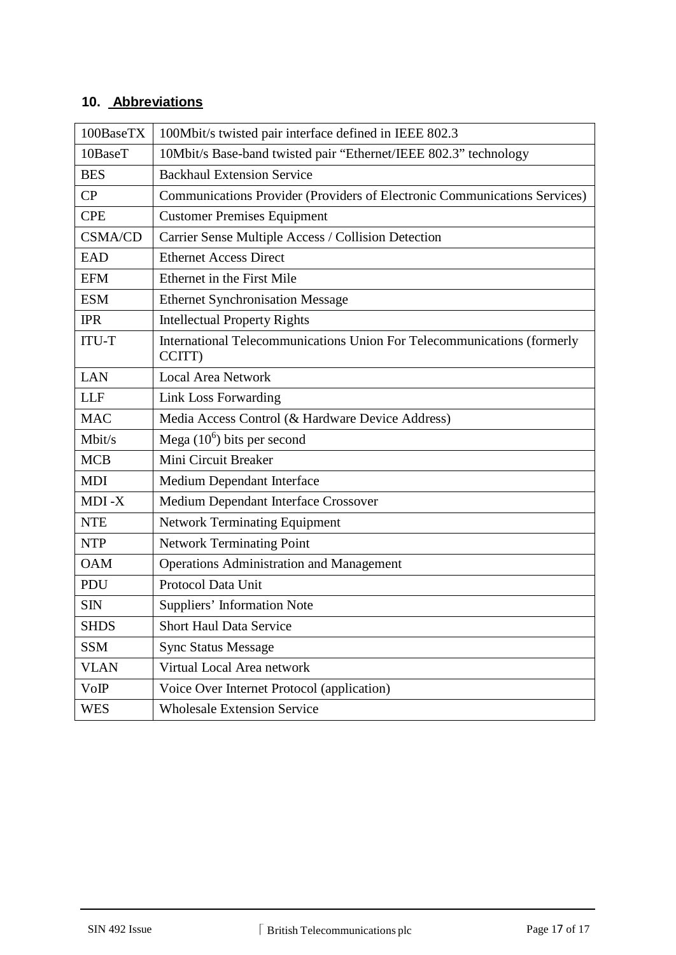# **10. Abbreviations**

| 100BaseTX      | 100Mbit/s twisted pair interface defined in IEEE 802.3                            |
|----------------|-----------------------------------------------------------------------------------|
| 10BaseT        | 10Mbit/s Base-band twisted pair "Ethernet/IEEE 802.3" technology                  |
| <b>BES</b>     | <b>Backhaul Extension Service</b>                                                 |
| CP             | Communications Provider (Providers of Electronic Communications Services)         |
| <b>CPE</b>     | <b>Customer Premises Equipment</b>                                                |
| <b>CSMA/CD</b> | Carrier Sense Multiple Access / Collision Detection                               |
| <b>EAD</b>     | <b>Ethernet Access Direct</b>                                                     |
| <b>EFM</b>     | Ethernet in the First Mile                                                        |
| <b>ESM</b>     | <b>Ethernet Synchronisation Message</b>                                           |
| <b>IPR</b>     | <b>Intellectual Property Rights</b>                                               |
| <b>ITU-T</b>   | International Telecommunications Union For Telecommunications (formerly<br>CCITT) |
| <b>LAN</b>     | <b>Local Area Network</b>                                                         |
| <b>LLF</b>     | Link Loss Forwarding                                                              |
| <b>MAC</b>     | Media Access Control (& Hardware Device Address)                                  |
| Mbit/s         | Mega $(10^6)$ bits per second                                                     |
| <b>MCB</b>     | Mini Circuit Breaker                                                              |
| <b>MDI</b>     | Medium Dependant Interface                                                        |
| MDI-X          | Medium Dependant Interface Crossover                                              |
| <b>NTE</b>     | <b>Network Terminating Equipment</b>                                              |
| <b>NTP</b>     | Network Terminating Point                                                         |
| <b>OAM</b>     | <b>Operations Administration and Management</b>                                   |
| PDU            | Protocol Data Unit                                                                |
| <b>SIN</b>     | Suppliers' Information Note                                                       |
| <b>SHDS</b>    | <b>Short Haul Data Service</b>                                                    |
| <b>SSM</b>     | <b>Sync Status Message</b>                                                        |
| <b>VLAN</b>    | Virtual Local Area network                                                        |
| VoIP           | Voice Over Internet Protocol (application)                                        |
| <b>WES</b>     | <b>Wholesale Extension Service</b>                                                |